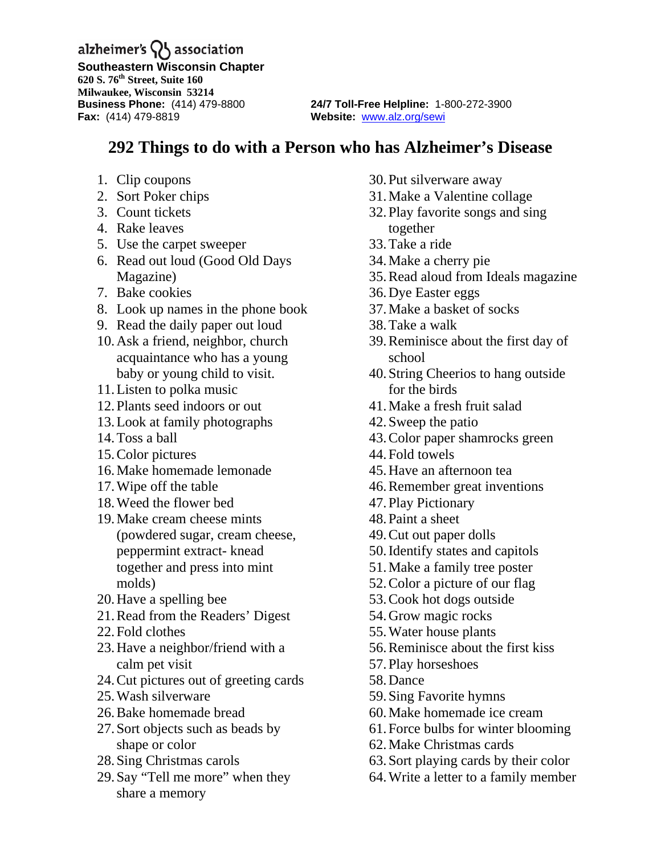alzheimer's  $\{ \}$  association

**Southeastern Wisconsin Chapter 620 S. 76th Street, Suite 160 Milwaukee, Wisconsin 53214 Fax:** (414) 479-8819 **Website:** [www.alz.org/sewi](http://www.alz.org/sewi)

**Business Phone:** (414) 479-8800 **24/7 Toll-Free Helpline:** 1-800-272-3900

## **292 Things to do with a Person who has Alzheimer's Disease**

- 1. Clip coupons
- 2. Sort Poker chips
- 3. Count tickets
- 4. Rake leaves
- 5. Use the carpet sweeper
- 6. Read out loud (Good Old Days Magazine)
- 7. Bake cookies
- 8. Look up names in the phone book
- 9. Read the daily paper out loud
- 10.Ask a friend, neighbor, church acquaintance who has a young baby or young child to visit.
- 11.Listen to polka music
- 12.Plants seed indoors or out
- 13.Look at family photographs
- 14.Toss a ball
- 15.Color pictures
- 16.Make homemade lemonade
- 17.Wipe off the table
- 18.Weed the flower bed
- 19.Make cream cheese mints (powdered sugar, cream cheese, peppermint extract- knead together and press into mint molds)
- 20.Have a spelling bee
- 21.Read from the Readers' Digest
- 22.Fold clothes
- 23.Have a neighbor/friend with a calm pet visit
- 24.Cut pictures out of greeting cards
- 25.Wash silverware
- 26.Bake homemade bread
- 27.Sort objects such as beads by shape or color
- 28.Sing Christmas carols
- 29.Say "Tell me more" when they share a memory
- 30.Put silverware away
- 31.Make a Valentine collage
- 32.Play favorite songs and sing together
- 33.Take a ride
- 34.Make a cherry pie
- 35.Read aloud from Ideals magazine
- 36.Dye Easter eggs
- 37.Make a basket of socks
- 38.Take a walk
- 39.Reminisce about the first day of school
- 40.String Cheerios to hang outside for the birds
- 41.Make a fresh fruit salad
- 42.Sweep the patio
- 43.Color paper shamrocks green
- 44.Fold towels
- 45.Have an afternoon tea
- 46.Remember great inventions
- 47.Play Pictionary
- 48.Paint a sheet
- 49.Cut out paper dolls
- 50.Identify states and capitols
- 51.Make a family tree poster
- 52.Color a picture of our flag
- 53.Cook hot dogs outside
- 54.Grow magic rocks
- 55.Water house plants
- 56.Reminisce about the first kiss
- 57.Play horseshoes
- 58.Dance
- 59.Sing Favorite hymns
- 60.Make homemade ice cream
- 61.Force bulbs for winter blooming
- 62.Make Christmas cards
- 63.Sort playing cards by their color
- 64.Write a letter to a family member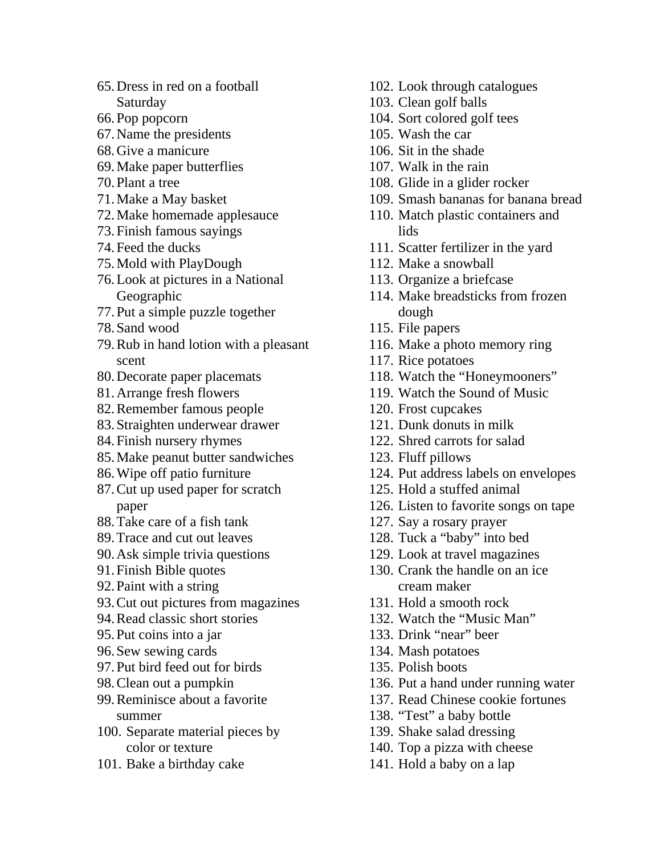- 65.Dress in red on a football Saturday
- 66.Pop popcorn
- 67.Name the presidents
- 68.Give a manicure
- 69.Make paper butterflies
- 70.Plant a tree
- 71.Make a May basket
- 72.Make homemade applesauce
- 73.Finish famous sayings
- 74.Feed the ducks
- 75.Mold with PlayDough
- 76.Look at pictures in a National Geographic
- 77.Put a simple puzzle together
- 78.Sand wood
- 79.Rub in hand lotion with a pleasant scent
- 80.Decorate paper placemats
- 81.Arrange fresh flowers
- 82.Remember famous people
- 83.Straighten underwear drawer
- 84.Finish nursery rhymes
- 85.Make peanut butter sandwiches
- 86.Wipe off patio furniture
- 87.Cut up used paper for scratch paper
- 88.Take care of a fish tank
- 89.Trace and cut out leaves
- 90.Ask simple trivia questions
- 91.Finish Bible quotes
- 92.Paint with a string
- 93.Cut out pictures from magazines
- 94.Read classic short stories
- 95.Put coins into a jar
- 96.Sew sewing cards
- 97.Put bird feed out for birds
- 98.Clean out a pumpkin
- 99.Reminisce about a favorite summer
- 100. Separate material pieces by color or texture
- 101. Bake a birthday cake
- 102. Look through catalogues
- 103. Clean golf balls
- 104. Sort colored golf tees
- 105. Wash the car
- 106. Sit in the shade
- 107. Walk in the rain
- 108. Glide in a glider rocker
- 109. Smash bananas for banana bread
- 110. Match plastic containers and lids
- 111. Scatter fertilizer in the yard
- 112. Make a snowball
- 113. Organize a briefcase
- 114. Make breadsticks from frozen dough
- 115. File papers
- 116. Make a photo memory ring
- 117. Rice potatoes
- 118. Watch the "Honeymooners"
- 119. Watch the Sound of Music
- 120. Frost cupcakes
- 121. Dunk donuts in milk
- 122. Shred carrots for salad
- 123. Fluff pillows
- 124. Put address labels on envelopes
- 125. Hold a stuffed animal
- 126. Listen to favorite songs on tape
- 127. Say a rosary prayer
- 128. Tuck a "baby" into bed
- 129. Look at travel magazines
- 130. Crank the handle on an ice cream maker
- 131. Hold a smooth rock
- 132. Watch the "Music Man"
- 133. Drink "near" beer
- 134. Mash potatoes
- 135. Polish boots
- 136. Put a hand under running water
- 137. Read Chinese cookie fortunes
- 138. "Test" a baby bottle
- 139. Shake salad dressing
- 140. Top a pizza with cheese
- 141. Hold a baby on a lap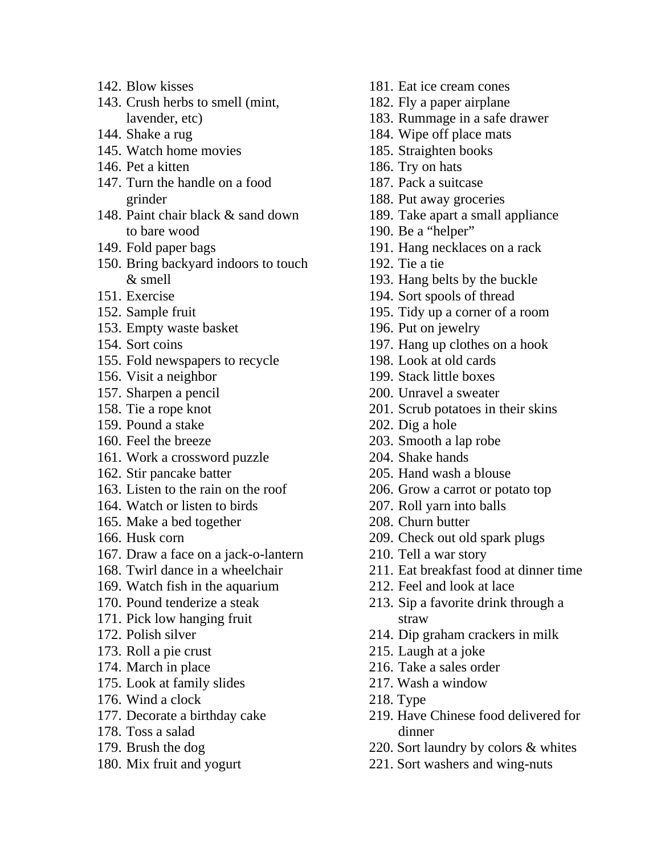- 142. Blow kisses
- 143. Crush herbs to smell (mint, lavender, etc)
- 144. Shake a rug
- 145. Watch home movies
- 146. Pet a kitten
- 147. Turn the handle on a food grinder
- 148. Paint chair black & sand down to bare wood
- 149. Fold paper bags
- 150. Bring backyard indoors to touch & smell
- 151. Exercise
- 152. Sample fruit
- 153. Empty waste basket
- 154. Sort coins
- 155. Fold newspapers to recycle
- 156. Visit a neighbor
- 157. Sharpen a pencil
- 158. Tie a rope knot
- 159. Pound a stake
- 160. Feel the breeze
- 161. Work a crossword puzzle
- 162. Stir pancake batter
- 163. Listen to the rain on the roof
- 164. Watch or listen to birds
- 165. Make a bed together
- 166. Husk corn
- 167. Draw a face on a jack-o-lantern
- 168. Twirl dance in a wheelchair
- 169. Watch fish in the aquarium
- 170. Pound tenderize a steak
- 171. Pick low hanging fruit
- 172. Polish silver
- 173. Roll a pie crust
- 174. March in place
- 175. Look at family slides
- 176. Wind a clock
- 177. Decorate a birthday cake
- 178. Toss a salad
- 179. Brush the dog
- 180. Mix fruit and yogurt
- 181. Eat ice cream cones 182. Fly a paper airplane 183. Rummage in a safe drawer 184. Wipe off place mats 185. Straighten books 186. Try on hats 187. Pack a suitcase 188. Put away groceries 189. Take apart a small appliance 190. Be a "helper" 191. Hang necklaces on a rack 192. Tie a tie 193. Hang belts by the buckle 194. Sort spools of thread 195. Tidy up a corner of a room 196. Put on jewelry 197. Hang up clothes on a hook 198. Look at old cards 199. Stack little boxes 200. Unravel a sweater 201. Scrub potatoes in their skins 202. Dig a hole 203. Smooth a lap robe 204. Shake hands 205. Hand wash a blouse 206. Grow a carrot or potato top 207. Roll yarn into balls 208. Churn butter 209. Check out old spark plugs 210. Tell a war story 211. Eat breakfast food at dinner time 212. Feel and look at lace 213. Sip a favorite drink through a straw 214. Dip graham crackers in milk 215. Laugh at a joke 216. Take a sales order 217. Wash a window
- 218. Type
- 219. Have Chinese food delivered for dinner
- 220. Sort laundry by colors & whites
- 221. Sort washers and wing-nuts